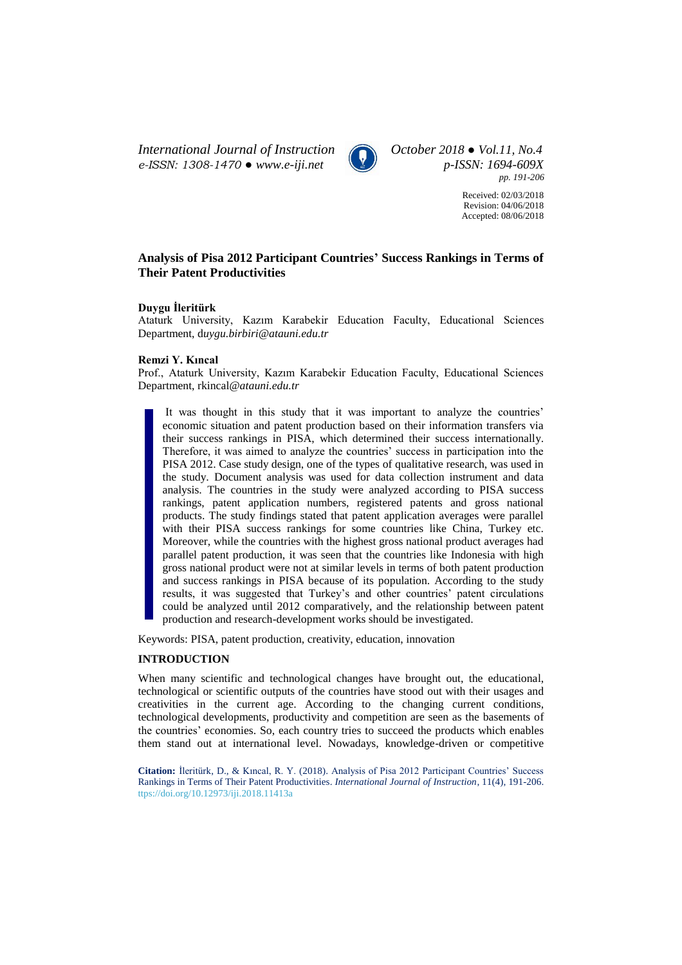*International Journal of Instruction October 2018 ● Vol.11, No.4 e-ISSN: 1308-1470 ● [www.e-iji.net](http://www.e-iji.net/) p-ISSN: 1694-609X*



*pp. 191-206*

Received: 02/03/2018 Revision: 04/06/2018 Accepted: 08/06/2018

## **Analysis of Pisa 2012 Participant Countries' Success Rankings in Terms of Their Patent Productivities**

#### **Duygu İleritürk**

Ataturk University, Kazım Karabekir Education Faculty, Educational Sciences Department, d*[uygu.birbiri@atauni.edu.tr](mailto:duygu.birbiri@atauni.edu.tr)*

#### **Remzi Y. Kıncal**

Prof., Ataturk University, Kazım Karabekir Education Faculty, Educational Sciences Department, rkincal*[@atauni.edu.tr](mailto:rkincal@atauni.edu.tr)*

It was thought in this study that it was important to analyze the countries' economic situation and patent production based on their information transfers via their success rankings in PISA, which determined their success internationally. Therefore, it was aimed to analyze the countries' success in participation into the PISA 2012. Case study design, one of the types of qualitative research, was used in the study. Document analysis was used for data collection instrument and data analysis. The countries in the study were analyzed according to PISA success rankings, patent application numbers, registered patents and gross national products. The study findings stated that patent application averages were parallel with their PISA success rankings for some countries like China, Turkey etc. Moreover, while the countries with the highest gross national product averages had parallel patent production, it was seen that the countries like Indonesia with high gross national product were not at similar levels in terms of both patent production and success rankings in PISA because of its population. According to the study results, it was suggested that Turkey's and other countries' patent circulations could be analyzed until 2012 comparatively, and the relationship between patent production and research-development works should be investigated.

Keywords: PISA, patent production, creativity, education, innovation

## **INTRODUCTION**

When many scientific and technological changes have brought out, the educational, technological or scientific outputs of the countries have stood out with their usages and creativities in the current age. According to the changing current conditions, technological developments, productivity and competition are seen as the basements of the countries' economies. So, each country tries to succeed the products which enables them stand out at international level. Nowadays, knowledge-driven or competitive

**Citation:** İleritürk, D., & Kıncal, R. Y. (2018). Analysis of Pisa 2012 Participant Countries' Success Rankings in Terms of Their Patent Productivities. *International Journal of Instruction*, 11(4), 191-206. [ttps://doi.org/10.12973/iji.2018.11413a](https://doi.org/10.12973/iji.2018.11413a)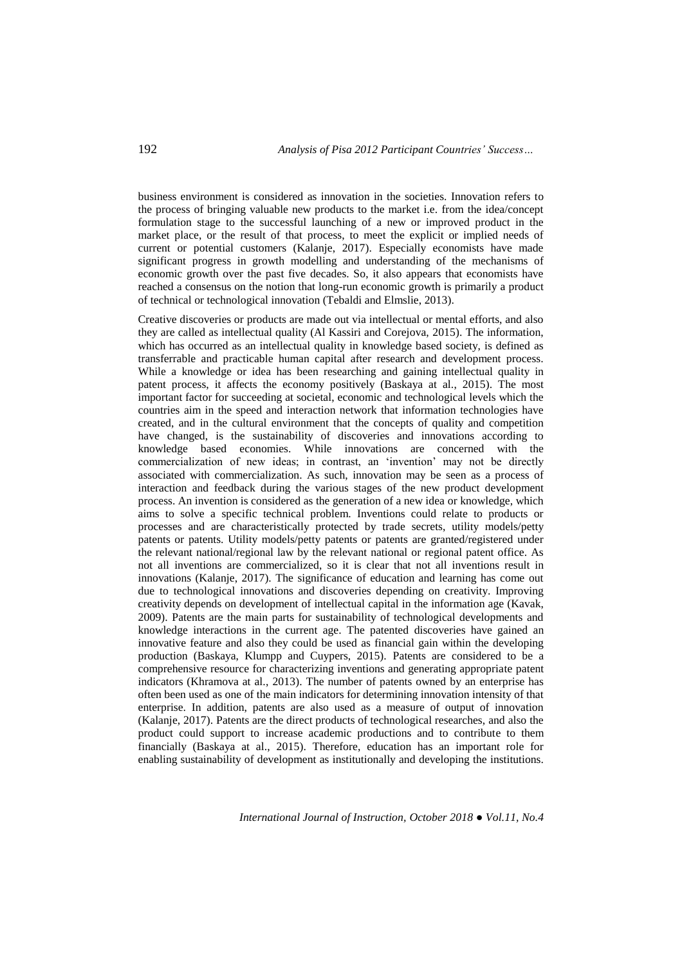business environment is considered as innovation in the societies. Innovation refers to the process of bringing valuable new products to the market i.e. from the idea/concept formulation stage to the successful launching of a new or improved product in the market place, or the result of that process, to meet the explicit or implied needs of current or potential customers (Kalanje, 2017). Especially economists have made significant progress in growth modelling and understanding of the mechanisms of economic growth over the past five decades. So, it also appears that economists have reached a consensus on the notion that long-run economic growth is primarily a product of technical or technological innovation (Tebaldi and Elmslie, 2013).

Creative discoveries or products are made out via intellectual or mental efforts, and also they are called as intellectual quality (Al Kassiri and Corejova, 2015). The information, which has occurred as an intellectual quality in knowledge based society, is defined as transferrable and practicable human capital after research and development process. While a knowledge or idea has been researching and gaining intellectual quality in patent process, it affects the economy positively (Baskaya at al., 2015). The most important factor for succeeding at societal, economic and technological levels which the countries aim in the speed and interaction network that information technologies have created, and in the cultural environment that the concepts of quality and competition have changed, is the sustainability of discoveries and innovations according to knowledge based economies. While innovations are concerned with the commercialization of new ideas; in contrast, an 'invention' may not be directly associated with commercialization. As such, innovation may be seen as a process of interaction and feedback during the various stages of the new product development process. An invention is considered as the generation of a new idea or knowledge, which aims to solve a specific technical problem. Inventions could relate to products or processes and are characteristically protected by trade secrets, utility models/petty patents or patents. Utility models/petty patents or patents are granted/registered under the relevant national/regional law by the relevant national or regional patent office. As not all inventions are commercialized, so it is clear that not all inventions result in innovations (Kalanje, 2017). The significance of education and learning has come out due to technological innovations and discoveries depending on creativity. Improving creativity depends on development of intellectual capital in the information age (Kavak, 2009). Patents are the main parts for sustainability of technological developments and knowledge interactions in the current age. The patented discoveries have gained an innovative feature and also they could be used as financial gain within the developing production (Baskaya, Klumpp and Cuypers, 2015). Patents are considered to be a comprehensive resource for characterizing inventions and generating appropriate patent indicators (Khramova at al., 2013). The number of patents owned by an enterprise has often been used as one of the main indicators for determining innovation intensity of that enterprise. In addition, patents are also used as a measure of output of innovation (Kalanje, 2017). Patents are the direct products of technological researches, and also the product could support to increase academic productions and to contribute to them financially (Baskaya at al., 2015). Therefore, education has an important role for enabling sustainability of development as institutionally and developing the institutions.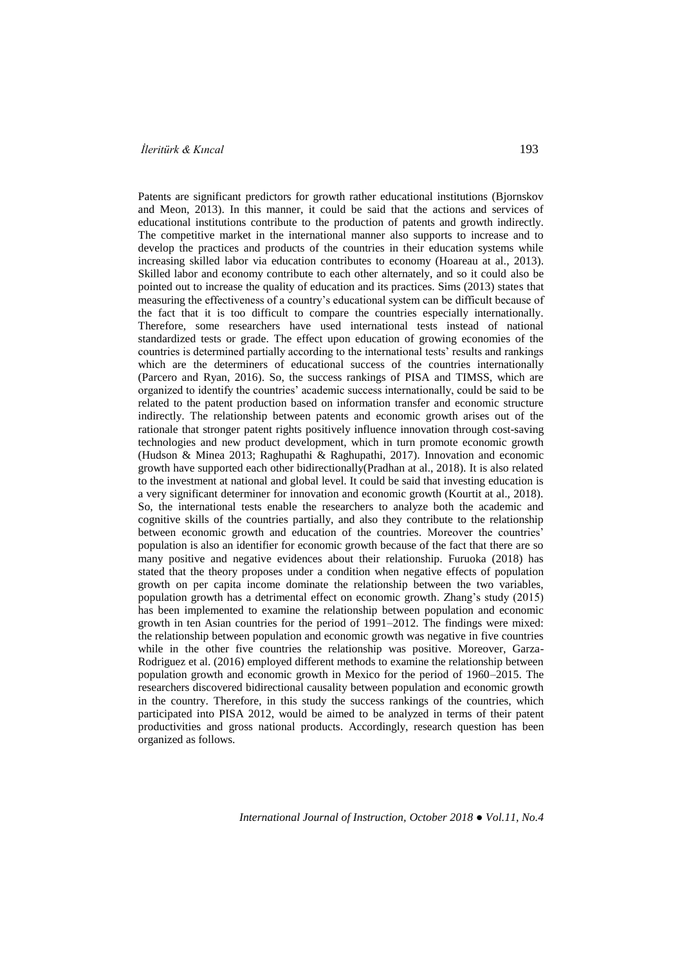Patents are significant predictors for growth rather educational institutions (Bjornskov and Meon, 2013). In this manner, it could be said that the actions and services of educational institutions contribute to the production of patents and growth indirectly. The competitive market in the international manner also supports to increase and to develop the practices and products of the countries in their education systems while increasing skilled labor via education contributes to economy (Hoareau at al., 2013). Skilled labor and economy contribute to each other alternately, and so it could also be pointed out to increase the quality of education and its practices. Sims (2013) states that measuring the effectiveness of a country's educational system can be difficult because of the fact that it is too difficult to compare the countries especially internationally. Therefore, some researchers have used international tests instead of national standardized tests or grade. The effect upon education of growing economies of the countries is determined partially according to the international tests' results and rankings which are the determiners of educational success of the countries internationally (Parcero and Ryan, 2016). So, the success rankings of PISA and TIMSS, which are organized to identify the countries' academic success internationally, could be said to be related to the patent production based on information transfer and economic structure indirectly. The relationship between patents and economic growth arises out of the rationale that stronger patent rights positively influence innovation through cost-saving technologies and new product development, which in turn promote economic growth (Hudson & Minea 2013; Raghupathi & Raghupathi, 2017). Innovation and economic growth have supported each other bidirectionally(Pradhan at al., 2018). It is also related to the investment at national and global level. It could be said that investing education is a very significant determiner for innovation and economic growth (Kourtit at al., 2018). So, the international tests enable the researchers to analyze both the academic and cognitive skills of the countries partially, and also they contribute to the relationship between economic growth and education of the countries. Moreover the countries' population is also an identifier for economic growth because of the fact that there are so many positive and negative evidences about their relationship. Furuoka (2018) has stated that the theory proposes under a condition when negative effects of population growth on per capita income dominate the relationship between the two variables, population growth has a detrimental effect on economic growth. Zhang's study (2015) has been implemented to examine the relationship between population and economic growth in ten Asian countries for the period of 1991–2012. The findings were mixed: the relationship between population and economic growth was negative in five countries while in the other five countries the relationship was positive. Moreover, Garza-Rodriguez et al. (2016) employed different methods to examine the relationship between population growth and economic growth in Mexico for the period of 1960–2015. The researchers discovered bidirectional causality between population and economic growth in the country. Therefore, in this study the success rankings of the countries, which participated into PISA 2012, would be aimed to be analyzed in terms of their patent productivities and gross national products. Accordingly, research question has been organized as follows.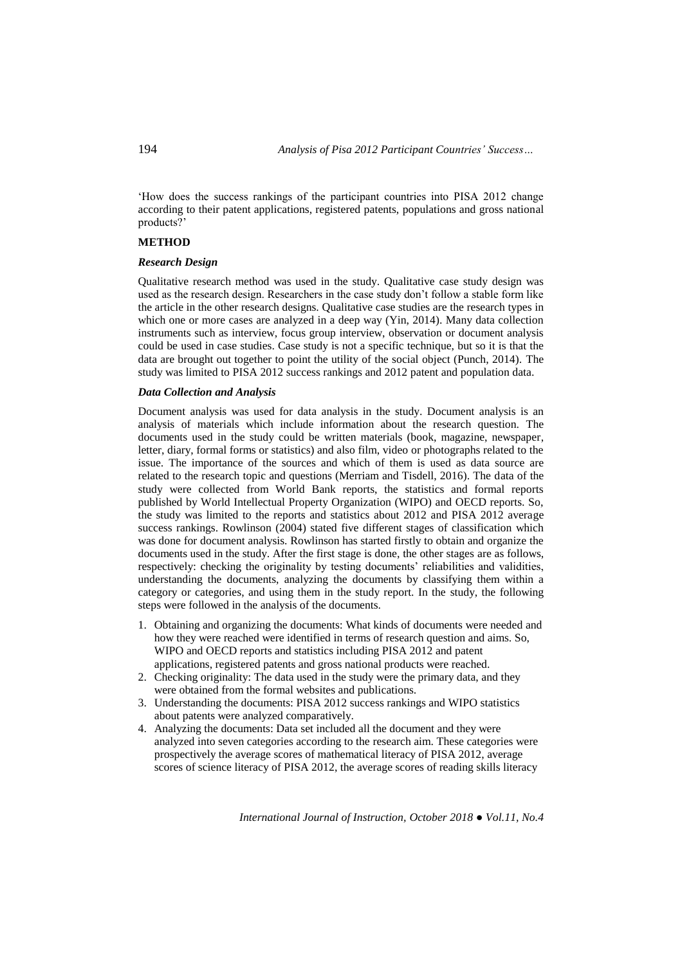'How does the success rankings of the participant countries into PISA 2012 change according to their patent applications, registered patents, populations and gross national products?'

### **METHOD**

#### *Research Design*

Qualitative research method was used in the study. Qualitative case study design was used as the research design. Researchers in the case study don't follow a stable form like the article in the other research designs. Qualitative case studies are the research types in which one or more cases are analyzed in a deep way (Yin, 2014). Many data collection instruments such as interview, focus group interview, observation or document analysis could be used in case studies. Case study is not a specific technique, but so it is that the data are brought out together to point the utility of the social object (Punch, 2014). The study was limited to PISA 2012 success rankings and 2012 patent and population data.

#### *Data Collection and Analysis*

Document analysis was used for data analysis in the study. Document analysis is an analysis of materials which include information about the research question. The documents used in the study could be written materials (book, magazine, newspaper, letter, diary, formal forms or statistics) and also film, video or photographs related to the issue. The importance of the sources and which of them is used as data source are related to the research topic and questions (Merriam and Tisdell, 2016). The data of the study were collected from World Bank reports, the statistics and formal reports published by World Intellectual Property Organization (WIPO) and OECD reports. So, the study was limited to the reports and statistics about 2012 and PISA 2012 average success rankings. Rowlinson (2004) stated five different stages of classification which was done for document analysis. Rowlinson has started firstly to obtain and organize the documents used in the study. After the first stage is done, the other stages are as follows, respectively: checking the originality by testing documents' reliabilities and validities, understanding the documents, analyzing the documents by classifying them within a category or categories, and using them in the study report. In the study, the following steps were followed in the analysis of the documents.

- 1. Obtaining and organizing the documents: What kinds of documents were needed and how they were reached were identified in terms of research question and aims. So, WIPO and OECD reports and statistics including PISA 2012 and patent applications, registered patents and gross national products were reached.
- 2. Checking originality: The data used in the study were the primary data, and they were obtained from the formal websites and publications.
- 3. Understanding the documents: PISA 2012 success rankings and WIPO statistics about patents were analyzed comparatively.
- 4. Analyzing the documents: Data set included all the document and they were analyzed into seven categories according to the research aim. These categories were prospectively the average scores of mathematical literacy of PISA 2012, average scores of science literacy of PISA 2012, the average scores of reading skills literacy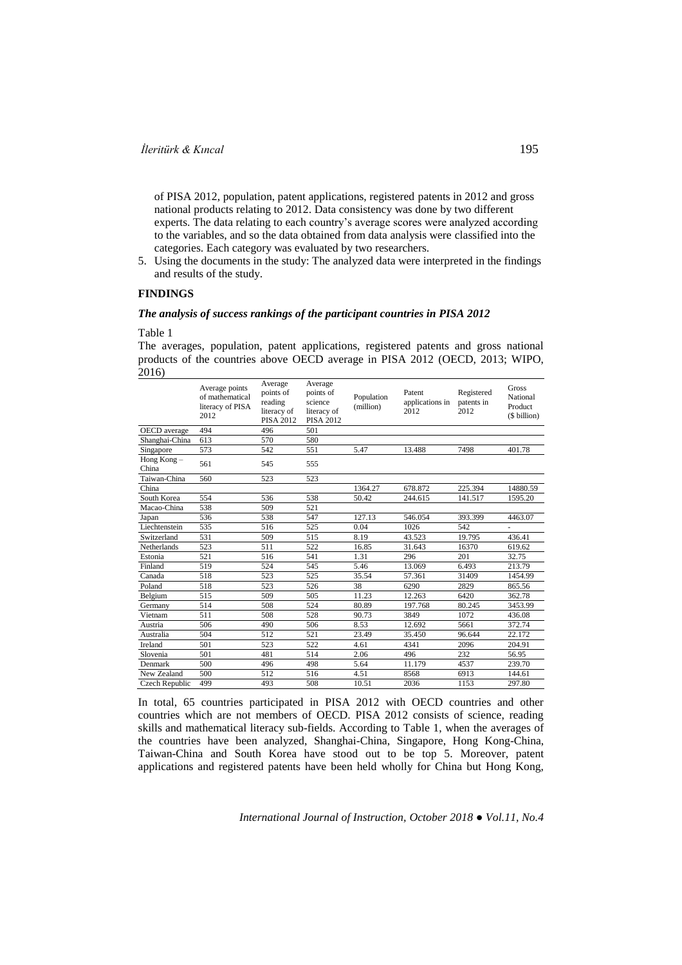of PISA 2012, population, patent applications, registered patents in 2012 and gross national products relating to 2012. Data consistency was done by two different experts. The data relating to each country's average scores were analyzed according to the variables, and so the data obtained from data analysis were classified into the categories. Each category was evaluated by two researchers.

5. Using the documents in the study: The analyzed data were interpreted in the findings and results of the study.

## **FINDINGS**

## *The analysis of success rankings of the participant countries in PISA 2012*

#### Table 1

The averages, population, patent applications, registered patents and gross national products of the countries above OECD average in PISA 2012 (OECD, 2013; WIPO, 2016)

|                     | Average points<br>of mathematical<br>literacy of PISA<br>2012 | Average<br>points of<br>reading<br>literacy of<br><b>PISA 2012</b> | Average<br>points of<br>science<br>literacy of<br><b>PISA 2012</b> | Population<br>(million) | Patent<br>applications in<br>2012 | Registered<br>patents in<br>2012 | Gross<br>National<br>Product<br>(\$ billion) |
|---------------------|---------------------------------------------------------------|--------------------------------------------------------------------|--------------------------------------------------------------------|-------------------------|-----------------------------------|----------------------------------|----------------------------------------------|
| OECD average        | 494                                                           | 496                                                                | 501                                                                |                         |                                   |                                  |                                              |
| Shanghai-China      | 613                                                           | 570                                                                | 580                                                                |                         |                                   |                                  |                                              |
| Singapore           | 573                                                           | 542                                                                | 551                                                                | 5.47                    | 13.488                            | 7498                             | 401.78                                       |
| Hong Kong-<br>China | 561                                                           | 545                                                                | 555                                                                |                         |                                   |                                  |                                              |
| Taiwan-China        | 560                                                           | 523                                                                | 523                                                                |                         |                                   |                                  |                                              |
| China               |                                                               |                                                                    |                                                                    | 1364.27                 | 678.872                           | 225.394                          | 14880.59                                     |
| South Korea         | 554                                                           | 536                                                                | 538                                                                | 50.42                   | 244.615                           | 141.517                          | 1595.20                                      |
| Macao-China         | 538                                                           | 509                                                                | 521                                                                |                         |                                   |                                  |                                              |
| Japan               | 536                                                           | 538                                                                | 547                                                                | 127.13                  | 546.054                           | 393.399                          | 4463.07                                      |
| Liechtenstein       | 535                                                           | 516                                                                | 525                                                                | 0.04                    | 1026                              | 542                              |                                              |
| Switzerland         | 531                                                           | 509                                                                | 515                                                                | 8.19                    | 43.523                            | 19.795                           | 436.41                                       |
| Netherlands         | 523                                                           | 511                                                                | 522                                                                | 16.85                   | 31.643                            | 16370                            | 619.62                                       |
| Estonia             | 521                                                           | 516                                                                | 541                                                                | 1.31                    | 296                               | 201                              | 32.75                                        |
| Finland             | 519                                                           | 524                                                                | 545                                                                | 5.46                    | 13.069                            | 6.493                            | 213.79                                       |
| Canada              | 518                                                           | 523                                                                | 525                                                                | 35.54                   | 57.361                            | 31409                            | 1454.99                                      |
| Poland              | 518                                                           | 523                                                                | 526                                                                | 38                      | 6290                              | 2829                             | 865.56                                       |
| Belgium             | 515                                                           | 509                                                                | 505                                                                | 11.23                   | 12.263                            | 6420                             | 362.78                                       |
| Germany             | 514                                                           | 508                                                                | 524                                                                | 80.89                   | 197.768                           | 80.245                           | 3453.99                                      |
| Vietnam             | 511                                                           | 508                                                                | 528                                                                | 90.73                   | 3849                              | 1072                             | 436.08                                       |
| Austria             | 506                                                           | 490                                                                | 506                                                                | 8.53                    | 12.692                            | 5661                             | 372.74                                       |
| Australia           | 504                                                           | 512                                                                | 521                                                                | 23.49                   | 35.450                            | 96.644                           | 22.172                                       |
| Ireland             | 501                                                           | 523                                                                | 522                                                                | 4.61                    | 4341                              | 2096                             | 204.91                                       |
| Slovenia            | 501                                                           | 481                                                                | 514                                                                | 2.06                    | 496                               | 232                              | 56.95                                        |
| Denmark             | 500                                                           | 496                                                                | 498                                                                | 5.64                    | 11.179                            | 4537                             | 239.70                                       |
| New Zealand         | 500                                                           | 512                                                                | 516                                                                | 4.51                    | 8568                              | 6913                             | 144.61                                       |
| Czech Republic      | 499                                                           | 493                                                                | 508                                                                | 10.51                   | 2036                              | 1153                             | 297.80                                       |
|                     |                                                               |                                                                    |                                                                    |                         |                                   |                                  |                                              |

In total, 65 countries participated in PISA 2012 with OECD countries and other countries which are not members of OECD. PISA 2012 consists of science, reading skills and mathematical literacy sub-fields. According to Table 1, when the averages of the countries have been analyzed, Shanghai-China, Singapore, Hong Kong-China, Taiwan-China and South Korea have stood out to be top 5. Moreover, patent applications and registered patents have been held wholly for China but Hong Kong,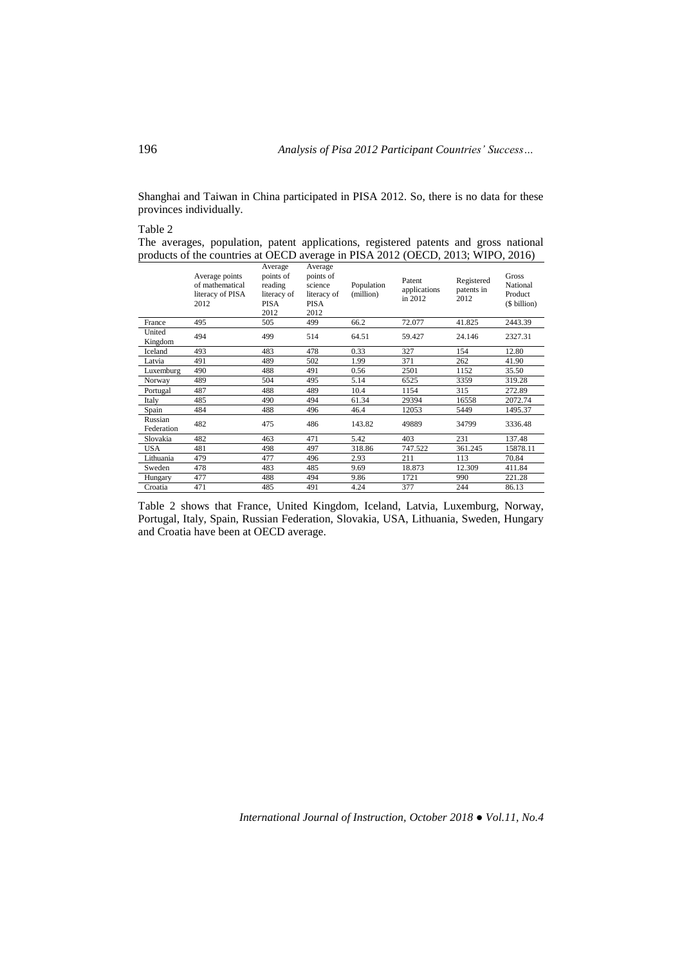Shanghai and Taiwan in China participated in PISA 2012. So, there is no data for these provinces individually.

## Table 2

The averages, population, patent applications, registered patents and gross national products of the countries at OECD average in PISA 2012 (OECD, 2013; WIPO, 2016)

|                       | Average points<br>of mathematical<br>literacy of PISA<br>2012 | Average<br>points of<br>reading<br>literacy of<br><b>PISA</b><br>2012 | Average<br>points of<br>science<br>literacy of<br><b>PISA</b><br>2012 | Population<br>(million) | Patent<br>applications<br>in 2012 | Registered<br>patents in<br>2012 | Gross<br>National<br>Product<br>(\$ billion) |
|-----------------------|---------------------------------------------------------------|-----------------------------------------------------------------------|-----------------------------------------------------------------------|-------------------------|-----------------------------------|----------------------------------|----------------------------------------------|
| France                | 495                                                           | 505                                                                   | 499                                                                   | 66.2                    | 72.077                            | 41.825                           | 2443.39                                      |
| United<br>Kingdom     | 494                                                           | 499                                                                   | 514                                                                   | 64.51                   | 59.427                            | 24.146                           | 2327.31                                      |
| Iceland               | 493                                                           | 483                                                                   | 478                                                                   | 0.33                    | 327                               | 154                              | 12.80                                        |
| Latvia                | 491                                                           | 489                                                                   | 502                                                                   | 1.99                    | 371                               | 262                              | 41.90                                        |
| Luxemburg             | 490                                                           | 488                                                                   | 491                                                                   | 0.56                    | 2501                              | 1152                             | 35.50                                        |
| Norway                | 489                                                           | 504                                                                   | 495                                                                   | 5.14                    | 6525                              | 3359                             | 319.28                                       |
| Portugal              | 487                                                           | 488                                                                   | 489                                                                   | 10.4                    | 1154                              | 315                              | 272.89                                       |
| Italy                 | 485                                                           | 490                                                                   | 494                                                                   | 61.34                   | 29394                             | 16558                            | 2072.74                                      |
| Spain                 | 484                                                           | 488                                                                   | 496                                                                   | 46.4                    | 12053                             | 5449                             | 1495.37                                      |
| Russian<br>Federation | 482                                                           | 475                                                                   | 486                                                                   | 143.82                  | 49889                             | 34799                            | 3336.48                                      |
| Slovakia              | 482                                                           | 463                                                                   | 471                                                                   | 5.42                    | 403                               | 231                              | 137.48                                       |
| <b>USA</b>            | 481                                                           | 498                                                                   | 497                                                                   | 318.86                  | 747.522                           | 361.245                          | 15878.11                                     |
| Lithuania             | 479                                                           | 477                                                                   | 496                                                                   | 2.93                    | 211                               | 113                              | 70.84                                        |
| Sweden                | 478                                                           | 483                                                                   | 485                                                                   | 9.69                    | 18.873                            | 12.309                           | 411.84                                       |
| Hungary               | 477                                                           | 488                                                                   | 494                                                                   | 9.86                    | 1721                              | 990                              | 221.28                                       |
| Croatia               | 471                                                           | 485                                                                   | 491                                                                   | 4.24                    | 377                               | 244                              | 86.13                                        |

Table 2 shows that France, United Kingdom, Iceland, Latvia, Luxemburg, Norway, Portugal, Italy, Spain, Russian Federation, Slovakia, USA, Lithuania, Sweden, Hungary and Croatia have been at OECD average.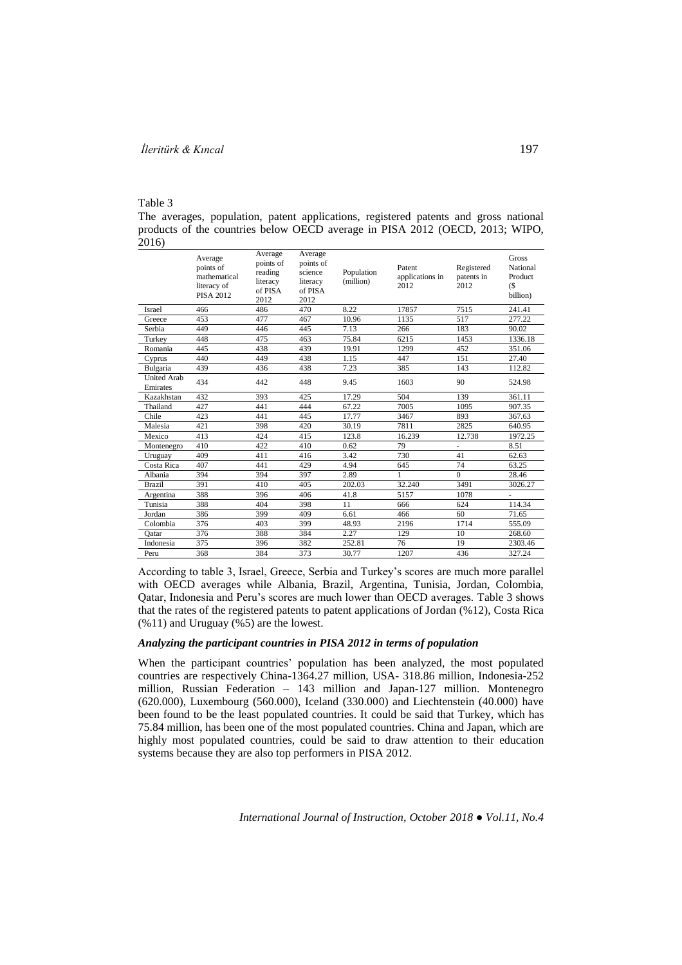#### Table 3

The averages, population, patent applications, registered patents and gross national products of the countries below OECD average in PISA 2012 (OECD, 2013; WIPO, 2016)

|                                | Average<br>points of<br>mathematical<br>literacy of<br><b>PISA 2012</b> | Average<br>points of<br>reading<br>literacy<br>of PISA<br>2012 | Average<br>points of<br>science<br>literacy<br>of PISA<br>2012 | Population<br>(million) | Patent<br>applications in<br>2012 | Registered<br>patents in<br>2012 | <b>Gross</b><br>National<br>Product<br>$($ \$<br>billion) |
|--------------------------------|-------------------------------------------------------------------------|----------------------------------------------------------------|----------------------------------------------------------------|-------------------------|-----------------------------------|----------------------------------|-----------------------------------------------------------|
| Israel                         | 466                                                                     | 486                                                            | 470                                                            | 8.22                    | 17857                             | 7515                             | 241.41                                                    |
| Greece                         | 453                                                                     | 477                                                            | 467                                                            | 10.96                   | 1135                              | 517                              | 277.22                                                    |
| Serbia                         | 449                                                                     | 446                                                            | 445                                                            | 7.13                    | 266                               | 183                              | 90.02                                                     |
| Turkev                         | 448                                                                     | 475                                                            | 463                                                            | 75.84                   | 6215                              | 1453                             | 1336.18                                                   |
| Romania                        | 445                                                                     | 438                                                            | 439                                                            | 19.91                   | 1299                              | 452                              | 351.06                                                    |
| Cyprus                         | 440                                                                     | 449                                                            | 438                                                            | 1.15                    | 447                               | 151                              | 27.40                                                     |
| Bulgaria                       | 439                                                                     | 436                                                            | 438                                                            | 7.23                    | 385                               | 143                              | 112.82                                                    |
| <b>United Arab</b><br>Emirates | 434                                                                     | 442                                                            | 448                                                            | 9.45                    | 1603                              | 90                               | 524.98                                                    |
| Kazakhstan                     | 432                                                                     | 393                                                            | 425                                                            | 17.29                   | 504                               | 139                              | 361.11                                                    |
| Thailand                       | 427                                                                     | 441                                                            | 444                                                            | 67.22                   | 7005                              | 1095                             | 907.35                                                    |
| Chile                          | 423                                                                     | 441                                                            | 445                                                            | 17.77                   | 3467                              | 893                              | 367.63                                                    |
| Malesia                        | 421                                                                     | 398                                                            | 420                                                            | 30.19                   | 7811                              | 2825                             | 640.95                                                    |
| Mexico                         | 413                                                                     | 424                                                            | 415                                                            | 123.8                   | 16.239                            | 12.738                           | 1972.25                                                   |
| Montenegro                     | 410                                                                     | 422                                                            | 410                                                            | 0.62                    | 79                                | $\sim$                           | 8.51                                                      |
| Uruguay                        | 409                                                                     | 411                                                            | 416                                                            | 3.42                    | 730                               | 41                               | 62.63                                                     |
| Costa Rica                     | 407                                                                     | 441                                                            | 429                                                            | 4.94                    | 645                               | 74                               | 63.25                                                     |
| Albania                        | 394                                                                     | 394                                                            | 397                                                            | 2.89                    |                                   | $\theta$                         | 28.46                                                     |
| <b>Brazil</b>                  | 391                                                                     | 410                                                            | 405                                                            | 202.03                  | 32.240                            | 3491                             | 3026.27                                                   |
| Argentina                      | 388                                                                     | 396                                                            | 406                                                            | 41.8                    | 5157                              | 1078                             |                                                           |
| Tunisia                        | 388                                                                     | 404                                                            | 398                                                            | 11                      | 666                               | 624                              | 114.34                                                    |
| Jordan                         | 386                                                                     | 399                                                            | 409                                                            | 6.61                    | 466                               | 60                               | 71.65                                                     |
| Colombia                       | 376                                                                     | 403                                                            | 399                                                            | 48.93                   | 2196                              | 1714                             | 555.09                                                    |
| Qatar                          | 376                                                                     | 388                                                            | 384                                                            | 2.27                    | 129                               | 10                               | 268.60                                                    |
| Indonesia                      | 375                                                                     | 396                                                            | 382                                                            | 252.81                  | 76                                | 19                               | 2303.46                                                   |
| Peru                           | 368                                                                     | 384                                                            | 373                                                            | 30.77                   | 1207                              | 436                              | 327.24                                                    |

According to table 3, Israel, Greece, Serbia and Turkey's scores are much more parallel with OECD averages while Albania, Brazil, Argentina, Tunisia, Jordan, Colombia, Qatar, Indonesia and Peru's scores are much lower than OECD averages. Table 3 shows that the rates of the registered patents to patent applications of Jordan (%12), Costa Rica (%11) and Uruguay (%5) are the lowest.

#### *Analyzing the participant countries in PISA 2012 in terms of population*

When the participant countries' population has been analyzed, the most populated countries are respectively China-1364.27 million, USA- 318.86 million, Indonesia-252 million, Russian Federation – 143 million and Japan-127 million. Montenegro (620.000), Luxembourg (560.000), Iceland (330.000) and Liechtenstein (40.000) have been found to be the least populated countries. It could be said that Turkey, which has 75.84 million, has been one of the most populated countries. China and Japan, which are highly most populated countries, could be said to draw attention to their education systems because they are also top performers in PISA 2012.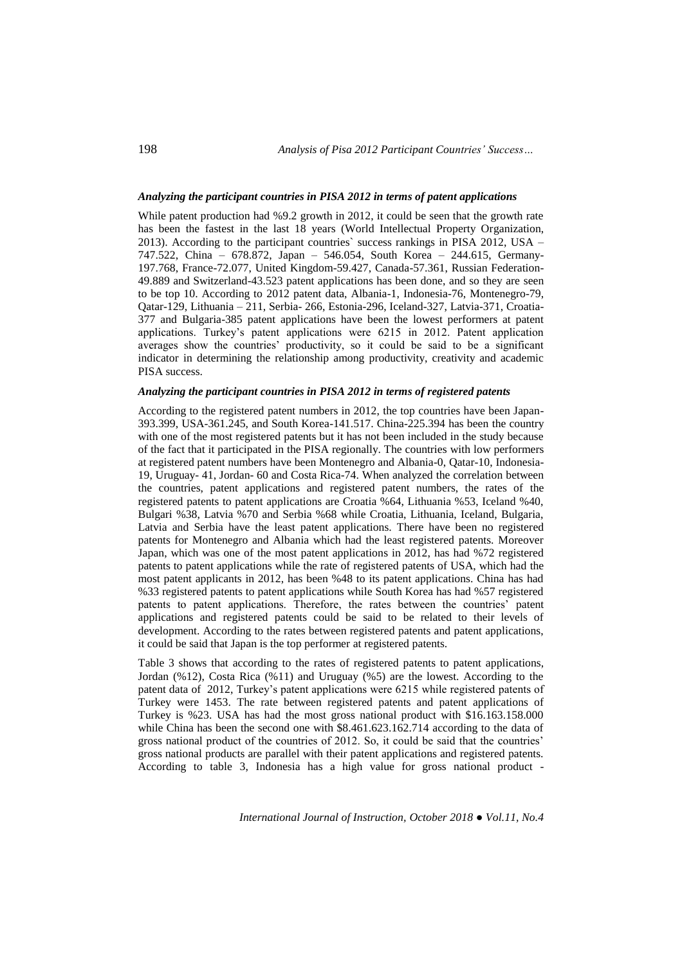#### *Analyzing the participant countries in PISA 2012 in terms of patent applications*

While patent production had %9.2 growth in 2012, it could be seen that the growth rate has been the fastest in the last 18 years (World Intellectual Property Organization, 2013). According to the participant countries` success rankings in PISA 2012, USA – 747.522, China – 678.872, Japan – 546.054, South Korea – 244.615, Germany-197.768, France-72.077, United Kingdom-59.427, Canada-57.361, Russian Federation-49.889 and Switzerland-43.523 patent applications has been done, and so they are seen to be top 10. According to 2012 patent data, Albania-1, Indonesia-76, Montenegro-79, Qatar-129, Lithuania – 211, Serbia- 266, Estonia-296, Iceland-327, Latvia-371, Croatia-377 and Bulgaria-385 patent applications have been the lowest performers at patent applications. Turkey's patent applications were 6215 in 2012. Patent application averages show the countries' productivity, so it could be said to be a significant indicator in determining the relationship among productivity, creativity and academic PISA success.

#### *Analyzing the participant countries in PISA 2012 in terms of registered patents*

According to the registered patent numbers in 2012, the top countries have been Japan-393.399, USA-361.245, and South Korea-141.517. China-225.394 has been the country with one of the most registered patents but it has not been included in the study because of the fact that it participated in the PISA regionally. The countries with low performers at registered patent numbers have been Montenegro and Albania-0, Qatar-10, Indonesia-19, Uruguay- 41, Jordan- 60 and Costa Rica-74. When analyzed the correlation between the countries, patent applications and registered patent numbers, the rates of the registered patents to patent applications are Croatia %64, Lithuania %53, Iceland %40, Bulgari %38, Latvia %70 and Serbia %68 while Croatia, Lithuania, Iceland, Bulgaria, Latvia and Serbia have the least patent applications. There have been no registered patents for Montenegro and Albania which had the least registered patents. Moreover Japan, which was one of the most patent applications in 2012, has had %72 registered patents to patent applications while the rate of registered patents of USA, which had the most patent applicants in 2012, has been %48 to its patent applications. China has had %33 registered patents to patent applications while South Korea has had %57 registered patents to patent applications. Therefore, the rates between the countries' patent applications and registered patents could be said to be related to their levels of development. According to the rates between registered patents and patent applications, it could be said that Japan is the top performer at registered patents.

Table 3 shows that according to the rates of registered patents to patent applications, Jordan (%12), Costa Rica (%11) and Uruguay (%5) are the lowest. According to the patent data of 2012, Turkey's patent applications were 6215 while registered patents of Turkey were 1453. The rate between registered patents and patent applications of Turkey is %23. USA has had the most gross national product with \$16.163.158.000 while China has been the second one with \$8.461.623.162.714 according to the data of gross national product of the countries of 2012. So, it could be said that the countries' gross national products are parallel with their patent applications and registered patents. According to table 3, Indonesia has a high value for gross national product -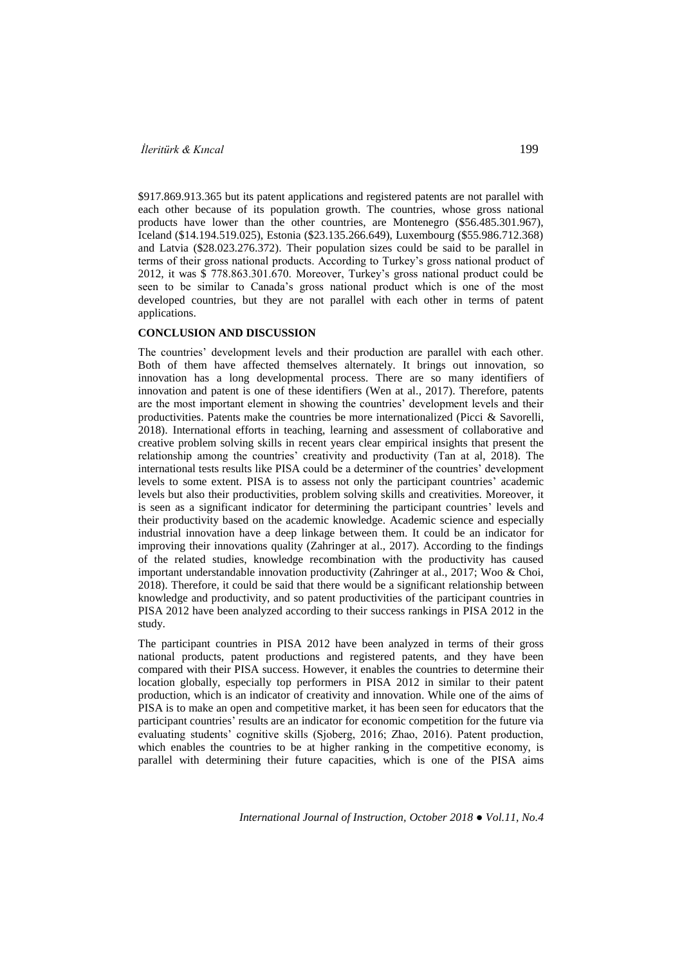\$917.869.913.365 but its patent applications and registered patents are not parallel with each other because of its population growth. The countries, whose gross national products have lower than the other countries, are Montenegro (\$56.485.301.967), Iceland (\$14.194.519.025), Estonia (\$23.135.266.649), Luxembourg (\$55.986.712.368) and Latvia (\$28.023.276.372). Their population sizes could be said to be parallel in terms of their gross national products. According to Turkey's gross national product of 2012, it was \$ 778.863.301.670. Moreover, Turkey's gross national product could be seen to be similar to Canada's gross national product which is one of the most developed countries, but they are not parallel with each other in terms of patent applications.

## **CONCLUSION AND DISCUSSION**

The countries' development levels and their production are parallel with each other. Both of them have affected themselves alternately. It brings out innovation, so innovation has a long developmental process. There are so many identifiers of innovation and patent is one of these identifiers (Wen at al., 2017). Therefore, patents are the most important element in showing the countries' development levels and their productivities. Patents make the countries be more internationalized (Picci & Savorelli, 2018). International efforts in teaching, learning and assessment of collaborative and creative problem solving skills in recent years clear empirical insights that present the relationship among the countries' creativity and productivity (Tan at al, 2018). The international tests results like PISA could be a determiner of the countries' development levels to some extent. PISA is to assess not only the participant countries' academic levels but also their productivities, problem solving skills and creativities. Moreover, it is seen as a significant indicator for determining the participant countries' levels and their productivity based on the academic knowledge. Academic science and especially industrial innovation have a deep linkage between them. It could be an indicator for improving their innovations quality (Zahringer at al., 2017). According to the findings of the related studies, knowledge recombination with the productivity has caused important understandable innovation productivity (Zahringer at al., 2017; Woo & Choi, 2018). Therefore, it could be said that there would be a significant relationship between knowledge and productivity, and so patent productivities of the participant countries in PISA 2012 have been analyzed according to their success rankings in PISA 2012 in the study.

The participant countries in PISA 2012 have been analyzed in terms of their gross national products, patent productions and registered patents, and they have been compared with their PISA success. However, it enables the countries to determine their location globally, especially top performers in PISA 2012 in similar to their patent production, which is an indicator of creativity and innovation. While one of the aims of PISA is to make an open and competitive market, it has been seen for educators that the participant countries' results are an indicator for economic competition for the future via evaluating students' cognitive skills (Sjoberg, 2016; Zhao, 2016). Patent production, which enables the countries to be at higher ranking in the competitive economy, is parallel with determining their future capacities, which is one of the PISA aims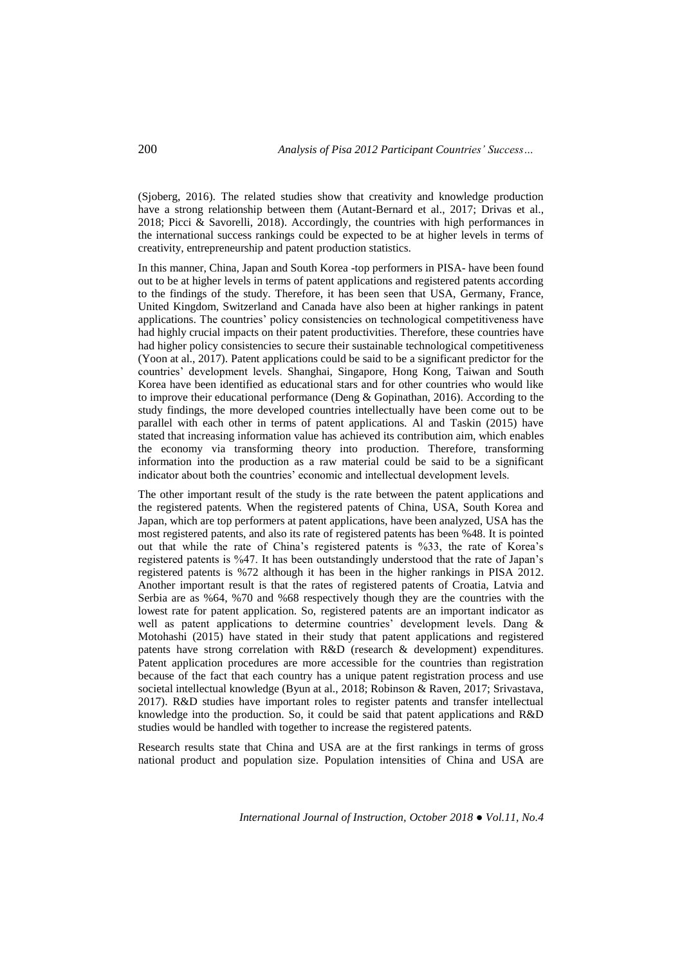(Sjoberg, 2016). The related studies show that creativity and knowledge production have a strong relationship between them (Autant-Bernard et al., 2017; Drivas et al., 2018; Picci & Savorelli, 2018). Accordingly, the countries with high performances in the international success rankings could be expected to be at higher levels in terms of creativity, entrepreneurship and patent production statistics.

In this manner, China, Japan and South Korea -top performers in PISA- have been found out to be at higher levels in terms of patent applications and registered patents according to the findings of the study. Therefore, it has been seen that USA, Germany, France, United Kingdom, Switzerland and Canada have also been at higher rankings in patent applications. The countries' policy consistencies on technological competitiveness have had highly crucial impacts on their patent productivities. Therefore, these countries have had higher policy consistencies to secure their sustainable technological competitiveness (Yoon at al., 2017). Patent applications could be said to be a significant predictor for the countries' development levels. Shanghai, Singapore, Hong Kong, Taiwan and South Korea have been identified as educational stars and for other countries who would like to improve their educational performance (Deng & Gopinathan, 2016). According to the study findings, the more developed countries intellectually have been come out to be parallel with each other in terms of patent applications. Al and Taskin (2015) have stated that increasing information value has achieved its contribution aim, which enables the economy via transforming theory into production. Therefore, transforming information into the production as a raw material could be said to be a significant indicator about both the countries' economic and intellectual development levels.

The other important result of the study is the rate between the patent applications and the registered patents. When the registered patents of China, USA, South Korea and Japan, which are top performers at patent applications, have been analyzed, USA has the most registered patents, and also its rate of registered patents has been %48. It is pointed out that while the rate of China's registered patents is %33, the rate of Korea's registered patents is %47. It has been outstandingly understood that the rate of Japan's registered patents is %72 although it has been in the higher rankings in PISA 2012. Another important result is that the rates of registered patents of Croatia, Latvia and Serbia are as %64, %70 and %68 respectively though they are the countries with the lowest rate for patent application. So, registered patents are an important indicator as well as patent applications to determine countries' development levels. Dang & Motohashi (2015) have stated in their study that patent applications and registered patents have strong correlation with R&D (research & development) expenditures. Patent application procedures are more accessible for the countries than registration because of the fact that each country has a unique patent registration process and use societal intellectual knowledge (Byun at al., 2018; Robinson & Raven, 2017; Srivastava, 2017). R&D studies have important roles to register patents and transfer intellectual knowledge into the production. So, it could be said that patent applications and R&D studies would be handled with together to increase the registered patents.

Research results state that China and USA are at the first rankings in terms of gross national product and population size. Population intensities of China and USA are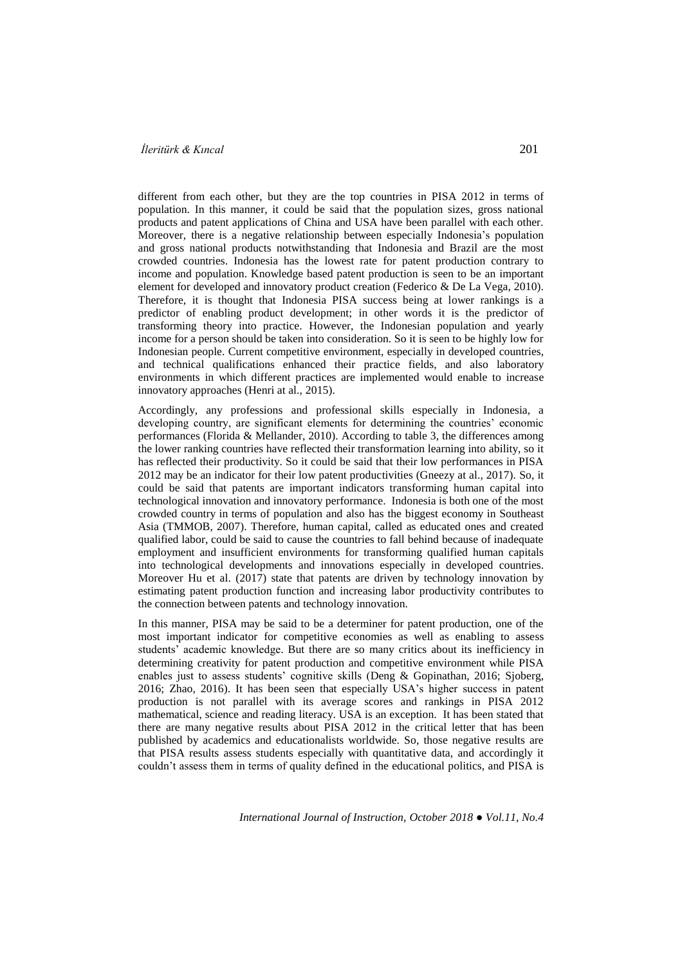different from each other, but they are the top countries in PISA 2012 in terms of population. In this manner, it could be said that the population sizes, gross national products and patent applications of China and USA have been parallel with each other. Moreover, there is a negative relationship between especially Indonesia's population and gross national products notwithstanding that Indonesia and Brazil are the most crowded countries. Indonesia has the lowest rate for patent production contrary to income and population. Knowledge based patent production is seen to be an important element for developed and innovatory product creation (Federico & De La Vega, 2010). Therefore, it is thought that Indonesia PISA success being at lower rankings is a predictor of enabling product development; in other words it is the predictor of transforming theory into practice. However, the Indonesian population and yearly income for a person should be taken into consideration. So it is seen to be highly low for Indonesian people. Current competitive environment, especially in developed countries, and technical qualifications enhanced their practice fields, and also laboratory environments in which different practices are implemented would enable to increase innovatory approaches (Henri at al., 2015).

Accordingly, any professions and professional skills especially in Indonesia, a developing country, are significant elements for determining the countries' economic performances (Florida & Mellander, 2010). According to table 3, the differences among the lower ranking countries have reflected their transformation learning into ability, so it has reflected their productivity. So it could be said that their low performances in PISA 2012 may be an indicator for their low patent productivities (Gneezy at al., 2017). So, it could be said that patents are important indicators transforming human capital into technological innovation and innovatory performance. Indonesia is both one of the most crowded country in terms of population and also has the biggest economy in Southeast Asia (TMMOB, 2007). Therefore, human capital, called as educated ones and created qualified labor, could be said to cause the countries to fall behind because of inadequate employment and insufficient environments for transforming qualified human capitals into technological developments and innovations especially in developed countries. Moreover Hu et al. (2017) state that patents are driven by technology innovation by estimating patent production function and increasing labor productivity contributes to the connection between patents and technology innovation.

In this manner, PISA may be said to be a determiner for patent production, one of the most important indicator for competitive economies as well as enabling to assess students' academic knowledge. But there are so many critics about its inefficiency in determining creativity for patent production and competitive environment while PISA enables just to assess students' cognitive skills (Deng & Gopinathan, 2016; Sjoberg, 2016; Zhao, 2016). It has been seen that especially USA's higher success in patent production is not parallel with its average scores and rankings in PISA 2012 mathematical, science and reading literacy. USA is an exception. It has been stated that there are many negative results about PISA 2012 in the critical letter that has been published by academics and educationalists worldwide. So, those negative results are that PISA results assess students especially with quantitative data, and accordingly it couldn't assess them in terms of quality defined in the educational politics, and PISA is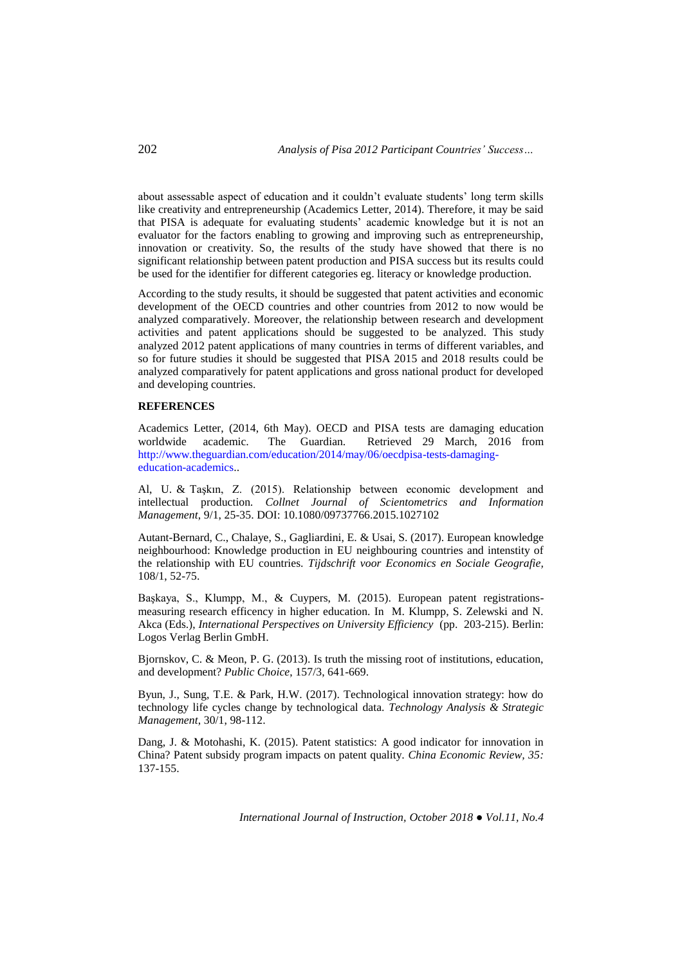about assessable aspect of education and it couldn't evaluate students' long term skills like creativity and entrepreneurship (Academics Letter, 2014). Therefore, it may be said that PISA is adequate for evaluating students' academic knowledge but it is not an evaluator for the factors enabling to growing and improving such as entrepreneurship, innovation or creativity. So, the results of the study have showed that there is no significant relationship between patent production and PISA success but its results could be used for the identifier for different categories eg. literacy or knowledge production.

According to the study results, it should be suggested that patent activities and economic development of the OECD countries and other countries from 2012 to now would be analyzed comparatively. Moreover, the relationship between research and development activities and patent applications should be suggested to be analyzed. This study analyzed 2012 patent applications of many countries in terms of different variables, and so for future studies it should be suggested that PISA 2015 and 2018 results could be analyzed comparatively for patent applications and gross national product for developed and developing countries.

# **REFERENCES**

Academics Letter, (2014, 6th May). OECD and PISA tests are damaging education worldwide academic. The Guardian. Retrieved 29 March, 2016 from [http://www.theguardian.com/education/2014/may/06/oecdpisa-tests-damaging](http://www.theguardian.com/education/2014/may/06/oecdpisa-tests-damaging-education-academics)[education-academics.](http://www.theguardian.com/education/2014/may/06/oecdpisa-tests-damaging-education-academics).

Al, U. & Taşkın, Z. (2015). Relationship between economic development and intellectual production*. Collnet Journal of Scientometrics and Information Management*, 9/1, 25-35. DOI: 10.1080/09737766.2015.1027102

Autant-Bernard, C., Chalaye, S., Gagliardini, E. & Usai, S. (2017). European knowledge neighbourhood: Knowledge production in EU neighbouring countries and intenstity of the relationship with EU countries. *Tijdschrift voor Economics en Sociale Geografie,*  108/1, 52-75.

Başkaya, S., Klumpp, M., & Cuypers, M. (2015). European patent registrationsmeasuring research efficency in higher education. In M. Klumpp, S. Zelewski and N. Akca (Eds.), *International Perspectives on University Efficiency* (pp. 203-215). Berlin: Logos Verlag Berlin GmbH.

Bjornskov, C. & Meon, P. G. (2013). Is truth the missing root of institutions, education, and development? *Public Choice*, 157/3, 641-669.

Byun, J., Sung, T.E. & Park, H.W. (2017). Technological innovation strategy: how do technology life cycles change by technological data. *Technology Analysis & Strategic Management*, 30/1, 98-112.

Dang, J. & Motohashi, K. (2015). Patent statistics: A good indicator for innovation in China? Patent subsidy program impacts on patent quality. *China Economic Review, 35:* 137-155.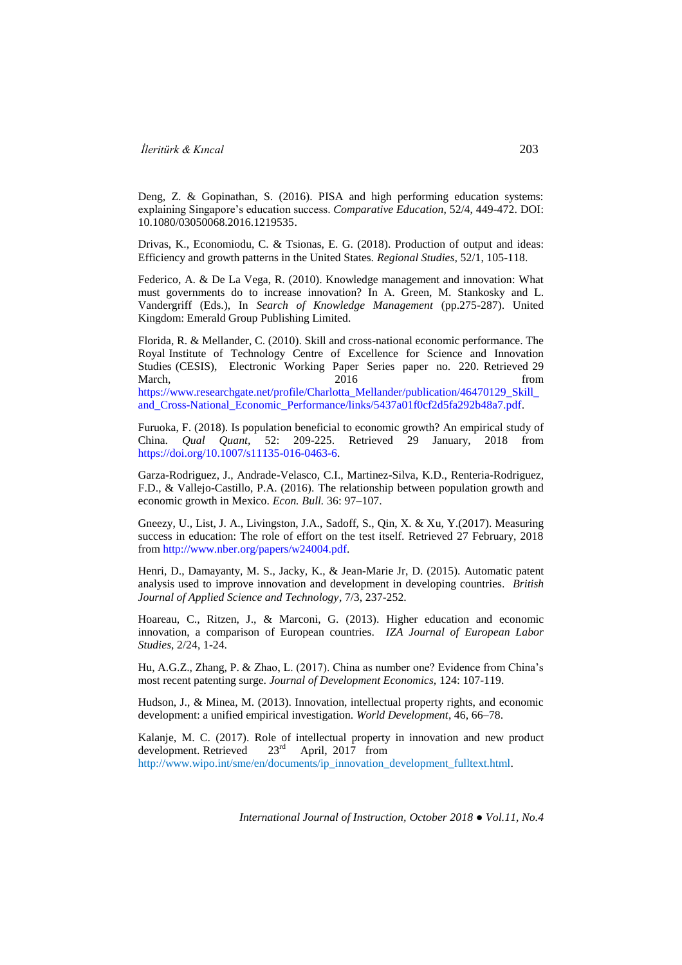Deng, Z. & Gopinathan, S. (2016). PISA and high performing education systems: explaining Singapore's education success. *Comparative Education*, 52/4, 449-472. DOI: 10.1080/03050068.2016.1219535.

Drivas, K., Economiodu, C. & Tsionas, E. G. (2018). Production of output and ideas: Efficiency and growth patterns in the United States. *Regional Studies,* 52/1, 105-118.

Federico, A. & De La Vega, R. (2010). Knowledge management and innovation: What must governments do to increase innovation? In A. Green, M. Stankosky and L. Vandergriff (Eds.), In *Search of Knowledge Management* (pp.275-287). United Kingdom: Emerald Group Publishing Limited.

Florida, R. & Mellander, C. (2010). Skill and cross-national economic performance. The Royal Institute of Technology Centre of Excellence for Science and Innovation Studies (CESIS), Electronic Working Paper Series paper no. 220. Retrieved 29 March, 2016 **has a more contract of the contract of the contract of the contract of the contract of the contract of the contract of the contract of the contract of the contract of the contract of the contract of the contra** [https://www.researchgate.net/profile/Charlotta\\_Mellander/publication/46470129\\_Skill\\_](https://www.researchgate.net/profile/Charlotta_Mellander/publication/46470129_Skill_and_Cross-National_Economic_Performance/links/5437a01f0cf2d5fa292b48a7.pdf) [and\\_Cross-National\\_Economic\\_Performance/links/5437a01f0cf2d5fa292b48a7.pdf.](https://www.researchgate.net/profile/Charlotta_Mellander/publication/46470129_Skill_and_Cross-National_Economic_Performance/links/5437a01f0cf2d5fa292b48a7.pdf)

Furuoka, F. (2018). Is population beneficial to economic growth? An empirical study of China. *Qual Quant,* 52: 209-225. Retrieved 29 January, 2018 from [https://doi.org/10.1007/s11135-016-0463-6.](https://doi.org/10.1007/s11135-016-0463-6)

Garza-Rodriguez, J., Andrade-Velasco, C.I., Martinez-Silva, K.D., Renteria-Rodriguez, F.D., & Vallejo-Castillo, P.A. (2016). The relationship between population growth and economic growth in Mexico. *Econ. Bull.* 36: 97–107.

Gneezy, U., List, J. A., Livingston, J.A., Sadoff, S., Qin, X. & Xu, Y.(2017). Measuring success in education: The role of effort on the test itself. Retrieved 27 February, 2018 from [http://www.nber.org/papers/w24004.pdf.](http://www.nber.org/papers/w24004.pdf)

Henri, D., Damayanty, M. S., Jacky, K., & Jean-Marie Jr, D. (2015). Automatic patent analysis used to improve innovation and development in developing countries. *British Journal of Applied Science and Technology*, 7/3, 237-252.

Hoareau, C., Ritzen, J., & Marconi, G. (2013). Higher education and economic innovation, a comparison of European countries. *IZA Journal of European Labor Studies*, 2/24, 1-24.

Hu, A.G.Z., Zhang, P. & Zhao, L. (2017). China as number one? Evidence from China's most recent patenting surge. *Journal of Development Economics,* 124: 107-119.

Hudson, J., & Minea, M. (2013). Innovation, intellectual property rights, and economic development: a unified empirical investigation. *World Development*, 46, 66–78.

Kalanje, M. C. (2017). Role of intellectual property in innovation and new product development. Retrieved 23<sup>rd</sup> April, 2017 from [http://www.wipo.int/sme/en/documents/ip\\_innovation\\_development\\_fulltext.html.](http://www.wipo.int/sme/en/documents/ip_innovation_development_fulltext.html)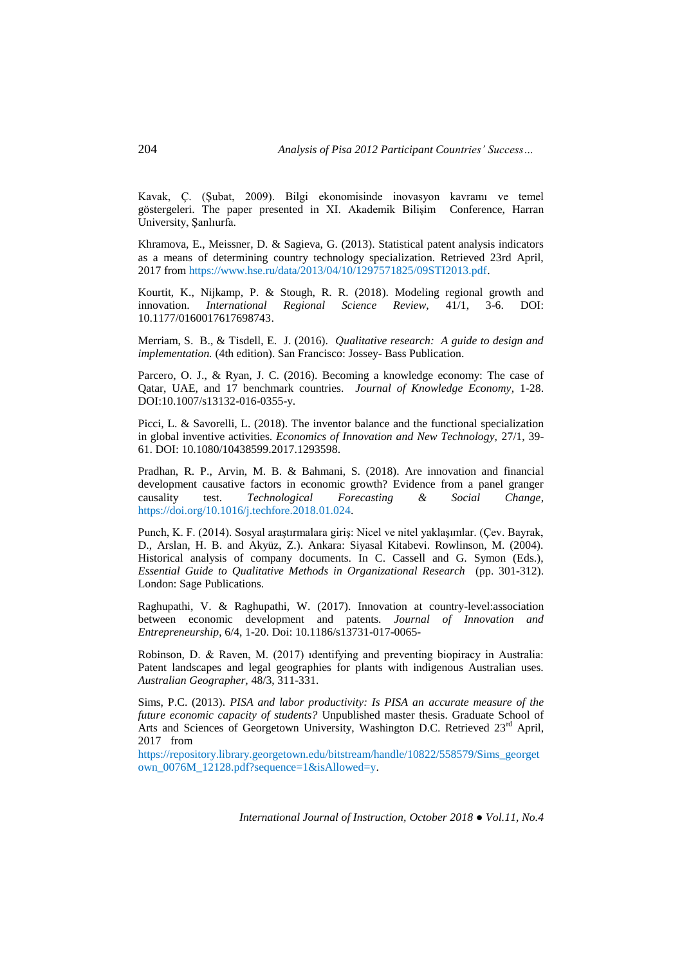Kavak, Ç. (Şubat, 2009). Bilgi ekonomisinde inovasyon kavramı ve temel göstergeleri. The paper presented in XI. Akademik Bilişim Conference, Harran University, Şanlıurfa.

Khramova, E., Meissner, D. & Sagieva, G. (2013). Statistical patent analysis indicators as a means of determining country technology specialization. Retrieved 23rd April, 2017 from [https://www.hse.ru/data/2013/04/10/1297571825/09STI2013.pdf.](https://www.hse.ru/data/2013/04/10/1297571825/09STI2013.pdf)

Kourtit, K., Nijkamp, P. & Stough, R. R. (2018). Modeling regional growth and innovation. *International Regional Science Review,* 41/1, 3-6. DOI: 10.1177/0160017617698743.

Merriam, S. B., & Tisdell, E. J. (2016). *Qualitative research: A guide to design and implementation.* (4th edition). San Francisco: Jossey- Bass Publication.

Parcero, O. J., & Ryan, J. C. (2016). Becoming a knowledge economy: The case of Qatar, UAE, and 17 benchmark countries. *Journal of Knowledge Economy*, 1-28. DOI:10.1007/s13132-016-0355-y.

Picci, L. & Savorelli, L. (2018). The inventor balance and the functional specialization in global inventive activities. *Economics of Innovation and New Technology,* 27/1, 39- 61. DOI: 10.1080/10438599.2017.1293598.

Pradhan, R. P., Arvin, M. B. & Bahmani, S. (2018). Are innovation and financial development causative factors in economic growth? Evidence from a panel granger causality test. *Technological Forecasting & Social Change*, [https://doi.org/10.1016/j.techfore.2018.01.024.](https://doi.org/10.1016/j.techfore.2018.01.024)

Punch, K. F. (2014). Sosyal araştırmalara giriş: Nicel ve nitel yaklaşımlar. (Çev. Bayrak, D., Arslan, H. B. and Akyüz, Z.). Ankara: Siyasal Kitabevi. Rowlinson, M. (2004). Historical analysis of company documents. In C. Cassell and G. Symon (Eds.), *Essential Guide to Qualitative Methods in Organizational Research* (pp. 301-312). London: Sage Publications.

Raghupathi, V. & Raghupathi, W. (2017). Innovation at country-level:association between economic development and patents. *Journal of Innovation and Entrepreneurship*, 6/4, 1-20. Doi: 10.1186/s13731-017-0065-

Robinson, D. & Raven, M. (2017) ıdentifying and preventing biopiracy in Australia: Patent landscapes and legal geographies for plants with indigenous Australian uses. *Australian Geographer,* 48/3, 311-331.

Sims, P.C. (2013). *PISA and labor productivity: Is PISA an accurate measure of the future economic capacity of students?* Unpublished master thesis. Graduate School of Arts and Sciences of Georgetown University, Washington D.C. Retrieved 23<sup>rd</sup> April, 2017 from

[https://repository.library.georgetown.edu/bitstream/handle/10822/558579/Sims\\_georget](https://repository.library.georgetown.edu/bitstream/handle/10822/558579/Sims_georgetown_0076M_12128.pdf?sequence=1&isAllowed=y) [own\\_0076M\\_12128.pdf?sequence=1&isAllowed=y.](https://repository.library.georgetown.edu/bitstream/handle/10822/558579/Sims_georgetown_0076M_12128.pdf?sequence=1&isAllowed=y)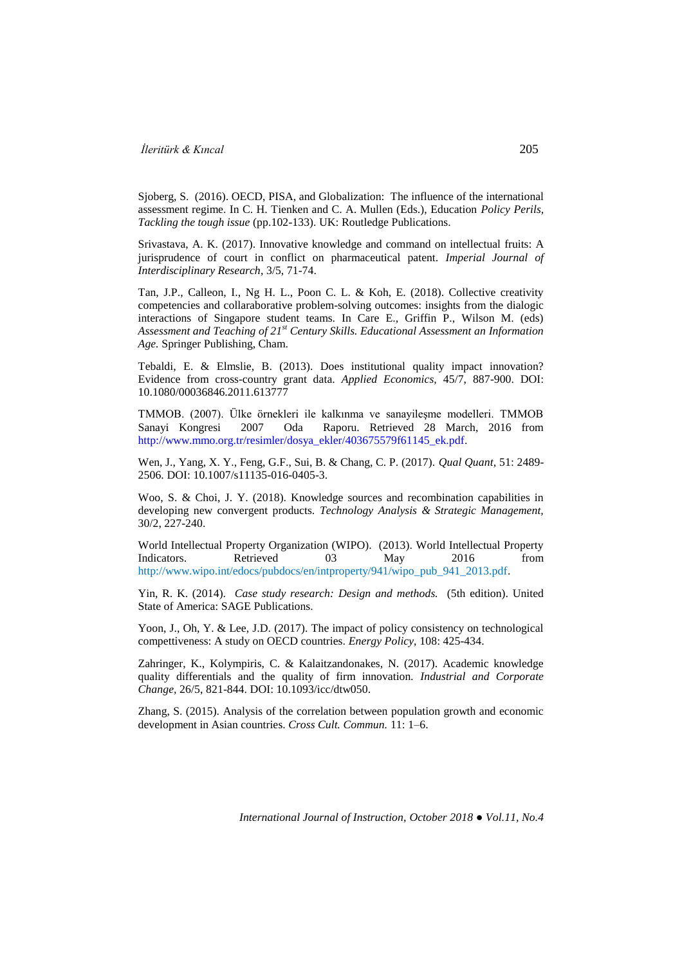Sjoberg, S. (2016). OECD, PISA, and Globalization: The influence of the international assessment regime. In C. H. Tienken and C. A. Mullen (Eds.), Education *Policy Perils, Tackling the tough issue* (pp.102-133). UK: Routledge Publications.

Srivastava, A. K. (2017). Innovative knowledge and command on intellectual fruits: A jurisprudence of court in conflict on pharmaceutical patent*. Imperial Journal of Interdisciplinary Research*, 3/5, 71-74.

Tan, J.P., Calleon, I., Ng H. L., Poon C. L. & Koh, E. (2018). Collective creativity competencies and collaraborative problem-solving outcomes: insights from the dialogic interactions of Singapore student teams. In Care E., Griffin P., Wilson M. (eds) *Assessment and Teaching of 21st Century Skills. Educational Assessment an Information Age.* Springer Publishing, Cham.

Tebaldi, E. & Elmslie, B. (2013). Does institutional quality impact innovation? Evidence from cross-country grant data. *Applied Economics,* 45/7, 887-900. DOI: 10.1080/00036846.2011.613777

TMMOB. (2007). Ülke örnekleri ile kalkınma ve sanayileşme modelleri. TMMOB Sanayi Kongresi 2007 Oda Raporu. Retrieved 28 March, 2016 from [http://www.mmo.org.tr/resimler/dosya\\_ekler/403675579f61145\\_ek.pdf.](http://www.mmo.org.tr/resimler/dosya_ekler/403675579f61145_ek.pdf)

Wen, J., Yang, X. Y., Feng, G.F., Sui, B. & Chang, C. P. (2017). *Qual Quant,* 51: 2489- 2506. DOI: 10.1007/s11135-016-0405-3.

Woo, S. & Choi, J. Y. (2018). Knowledge sources and recombination capabilities in developing new convergent products. *Technology Analysis & Strategic Management,*  30/2, 227-240.

World Intellectual Property Organization (WIPO). (2013). World Intellectual Property Indicators. Retrieved 03 May 2016 from [http://www.wipo.int/edocs/pubdocs/en/intproperty/941/wipo\\_pub\\_941\\_2013.pdf.](http://www.wipo.int/edocs/pubdocs/en/intproperty/941/wipo_pub_941_2013.pdf)

Yin, R. K. (2014). *Case study research: Design and methods.* (5th edition). United State of America: SAGE Publications.

Yoon, J., Oh, Y. & Lee, J.D. (2017). The impact of policy consistency on technological compettiveness: A study on OECD countries. *Energy Policy,* 108: 425-434.

Zahringer, K., Kolympiris, C. & Kalaitzandonakes, N. (2017). Academic knowledge quality differentials and the quality of firm innovation*. Industrial and Corporate Change,* 26/5, 821-844. DOI: 10.1093/icc/dtw050.

Zhang, S. (2015). Analysis of the correlation between population growth and economic development in Asian countries. *Cross Cult. Commun.* 11: 1–6.